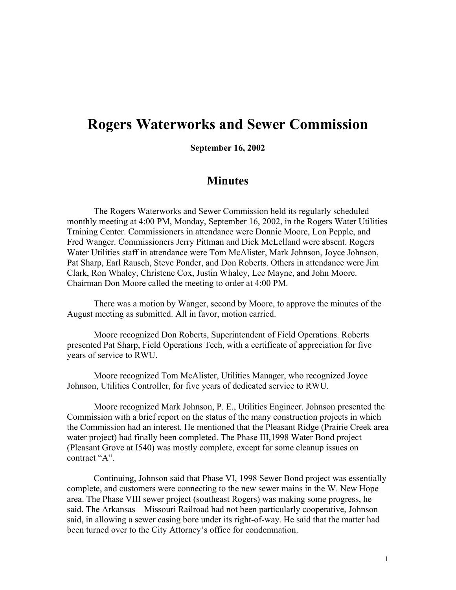## **Rogers Waterworks and Sewer Commission**

**September 16, 2002**

## **Minutes**

The Rogers Waterworks and Sewer Commission held its regularly scheduled monthly meeting at 4:00 PM, Monday, September 16, 2002, in the Rogers Water Utilities Training Center. Commissioners in attendance were Donnie Moore, Lon Pepple, and Fred Wanger. Commissioners Jerry Pittman and Dick McLelland were absent. Rogers Water Utilities staff in attendance were Tom McAlister, Mark Johnson, Joyce Johnson, Pat Sharp, Earl Rausch, Steve Ponder, and Don Roberts. Others in attendance were Jim Clark, Ron Whaley, Christene Cox, Justin Whaley, Lee Mayne, and John Moore. Chairman Don Moore called the meeting to order at 4:00 PM.

There was a motion by Wanger, second by Moore, to approve the minutes of the August meeting as submitted. All in favor, motion carried.

Moore recognized Don Roberts, Superintendent of Field Operations. Roberts presented Pat Sharp, Field Operations Tech, with a certificate of appreciation for five years of service to RWU.

Moore recognized Tom McAlister, Utilities Manager, who recognized Joyce Johnson, Utilities Controller, for five years of dedicated service to RWU.

Moore recognized Mark Johnson, P. E., Utilities Engineer. Johnson presented the Commission with a brief report on the status of the many construction projects in which the Commission had an interest. He mentioned that the Pleasant Ridge (Prairie Creek area water project) had finally been completed. The Phase III,1998 Water Bond project (Pleasant Grove at I540) was mostly complete, except for some cleanup issues on contract "A".

Continuing, Johnson said that Phase VI, 1998 Sewer Bond project was essentially complete, and customers were connecting to the new sewer mains in the W. New Hope area. The Phase VIII sewer project (southeast Rogers) was making some progress, he said. The Arkansas – Missouri Railroad had not been particularly cooperative, Johnson said, in allowing a sewer casing bore under its right-of-way. He said that the matter had been turned over to the City Attorney's office for condemnation.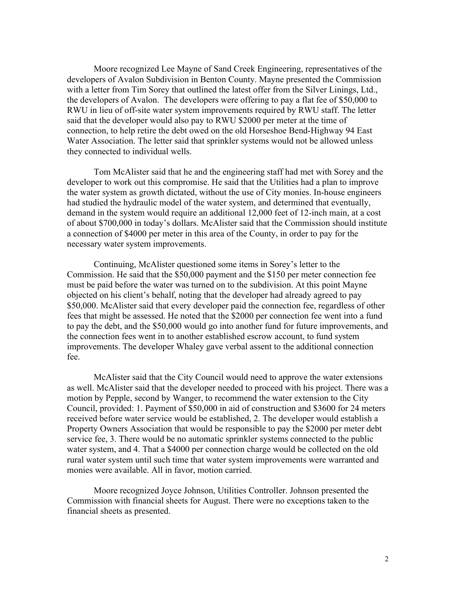Moore recognized Lee Mayne of Sand Creek Engineering, representatives of the developers of Avalon Subdivision in Benton County. Mayne presented the Commission with a letter from Tim Sorey that outlined the latest offer from the Silver Linings, Ltd., the developers of Avalon. The developers were offering to pay a flat fee of \$50,000 to RWU in lieu of off-site water system improvements required by RWU staff. The letter said that the developer would also pay to RWU \$2000 per meter at the time of connection, to help retire the debt owed on the old Horseshoe Bend-Highway 94 East Water Association. The letter said that sprinkler systems would not be allowed unless they connected to individual wells.

Tom McAlister said that he and the engineering staff had met with Sorey and the developer to work out this compromise. He said that the Utilities had a plan to improve the water system as growth dictated, without the use of City monies. In-house engineers had studied the hydraulic model of the water system, and determined that eventually, demand in the system would require an additional 12,000 feet of 12-inch main, at a cost of about \$700,000 in today's dollars. McAlister said that the Commission should institute a connection of \$4000 per meter in this area of the County, in order to pay for the necessary water system improvements.

Continuing, McAlister questioned some items in Sorey's letter to the Commission. He said that the \$50,000 payment and the \$150 per meter connection fee must be paid before the water was turned on to the subdivision. At this point Mayne objected on his client's behalf, noting that the developer had already agreed to pay \$50,000. McAlister said that every developer paid the connection fee, regardless of other fees that might be assessed. He noted that the \$2000 per connection fee went into a fund to pay the debt, and the \$50,000 would go into another fund for future improvements, and the connection fees went in to another established escrow account, to fund system improvements. The developer Whaley gave verbal assent to the additional connection fee.

McAlister said that the City Council would need to approve the water extensions as well. McAlister said that the developer needed to proceed with his project. There was a motion by Pepple, second by Wanger, to recommend the water extension to the City Council, provided: 1. Payment of \$50,000 in aid of construction and \$3600 for 24 meters received before water service would be established, 2. The developer would establish a Property Owners Association that would be responsible to pay the \$2000 per meter debt service fee, 3. There would be no automatic sprinkler systems connected to the public water system, and 4. That a \$4000 per connection charge would be collected on the old rural water system until such time that water system improvements were warranted and monies were available. All in favor, motion carried.

Moore recognized Joyce Johnson, Utilities Controller. Johnson presented the Commission with financial sheets for August. There were no exceptions taken to the financial sheets as presented.